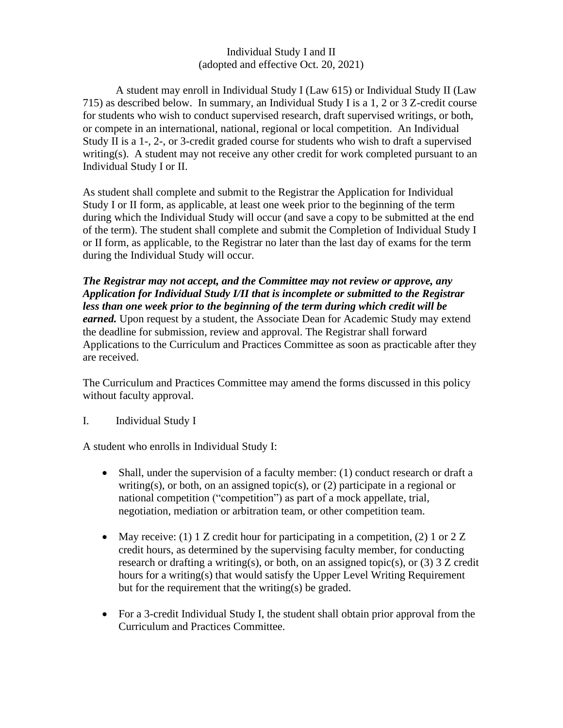#### Individual Study I and II (adopted and effective Oct. 20, 2021)

A student may enroll in Individual Study I (Law 615) or Individual Study II (Law 715) as described below. In summary, an Individual Study I is a 1, 2 or 3 Z-credit course for students who wish to conduct supervised research, draft supervised writings, or both, or compete in an international, national, regional or local competition. An Individual Study II is a 1-, 2-, or 3-credit graded course for students who wish to draft a supervised writing(s). A student may not receive any other credit for work completed pursuant to an Individual Study I or II.

As student shall complete and submit to the Registrar the Application for Individual Study I or II form, as applicable, at least one week prior to the beginning of the term during which the Individual Study will occur (and save a copy to be submitted at the end of the term). The student shall complete and submit the Completion of Individual Study I or II form, as applicable, to the Registrar no later than the last day of exams for the term during the Individual Study will occur.

*The Registrar may not accept, and the Committee may not review or approve, any Application for Individual Study I/II that is incomplete or submitted to the Registrar less than one week prior to the beginning of the term during which credit will be earned.* Upon request by a student, the Associate Dean for Academic Study may extend the deadline for submission, review and approval. The Registrar shall forward Applications to the Curriculum and Practices Committee as soon as practicable after they are received.

The Curriculum and Practices Committee may amend the forms discussed in this policy without faculty approval.

I. Individual Study I

A student who enrolls in Individual Study I:

- Shall, under the supervision of a faculty member: (1) conduct research or draft a writing(s), or both, on an assigned topic(s), or (2) participate in a regional or national competition ("competition") as part of a mock appellate, trial, negotiation, mediation or arbitration team, or other competition team.
- May receive: (1) 1 Z credit hour for participating in a competition, (2) 1 or  $2 Z$ credit hours, as determined by the supervising faculty member, for conducting research or drafting a writing(s), or both, on an assigned topic(s), or  $(3)$  3 Z credit hours for a writing(s) that would satisfy the Upper Level Writing Requirement but for the requirement that the writing(s) be graded.
- For a 3-credit Individual Study I, the student shall obtain prior approval from the Curriculum and Practices Committee.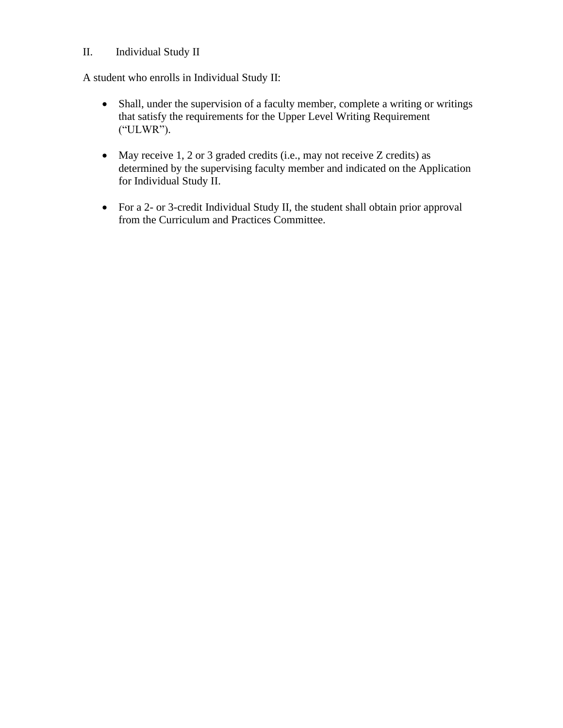# II. Individual Study II

A student who enrolls in Individual Study II:

- Shall, under the supervision of a faculty member, complete a writing or writings that satisfy the requirements for the Upper Level Writing Requirement ("ULWR").
- May receive 1, 2 or 3 graded credits (i.e., may not receive Z credits) as determined by the supervising faculty member and indicated on the Application for Individual Study II.
- For a 2- or 3-credit Individual Study II, the student shall obtain prior approval from the Curriculum and Practices Committee.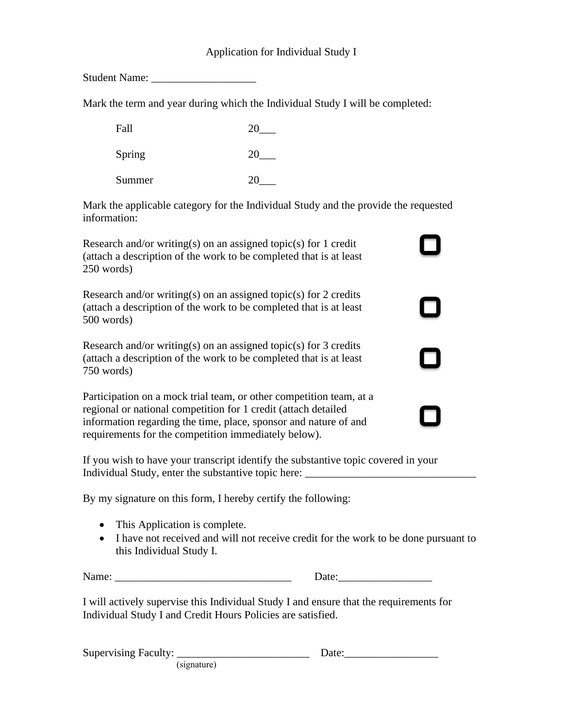# Application for Individual Study I

Student Name: \_\_\_\_\_\_\_\_\_\_\_\_\_\_\_\_\_\_\_

Mark the term and year during which the Individual Study I will be completed:

| Fall   | 20 |
|--------|----|
| Spring | 20 |
| Summer | 20 |

Mark the applicable category for the Individual Study and the provide the requested information:

| Research and/or writing(s) on an assigned topic(s) for 1 credit<br>(attach a description of the work to be completed that is at least<br>250 words)                                                                                                               |        |
|-------------------------------------------------------------------------------------------------------------------------------------------------------------------------------------------------------------------------------------------------------------------|--------|
| Research and/or writing(s) on an assigned topic(s) for 2 credits<br>(attach a description of the work to be completed that is at least<br>500 words)                                                                                                              |        |
| Research and/or writing(s) on an assigned topic(s) for 3 credits<br>(attach a description of the work to be completed that is at least<br>750 words)                                                                                                              |        |
| Participation on a mock trial team, or other competition team, at a<br>regional or national competition for 1 credit (attach detailed<br>information regarding the time, place, sponsor and nature of and<br>requirements for the competition immediately below). | $\Box$ |
| If you wish to have your transcript identify the substantive topic covered in your<br>Individual Study, enter the substantive topic here:                                                                                                                         |        |

By my signature on this form, I hereby certify the following:

- This Application is complete.
- I have not received and will not receive credit for the work to be done pursuant to this Individual Study I.

Name: \_\_\_\_\_\_\_\_\_\_\_\_\_\_\_\_\_\_\_\_\_\_\_\_\_\_\_\_\_\_\_\_ Date:\_\_\_\_\_\_\_\_\_\_\_\_\_\_\_\_\_

I will actively supervise this Individual Study I and ensure that the requirements for Individual Study I and Credit Hours Policies are satisfied.

Supervising Faculty: \_\_\_\_\_\_\_\_\_\_\_\_\_\_\_\_\_\_\_\_\_\_\_\_ Date:\_\_\_\_\_\_\_\_\_\_\_\_\_\_\_\_\_

(signature)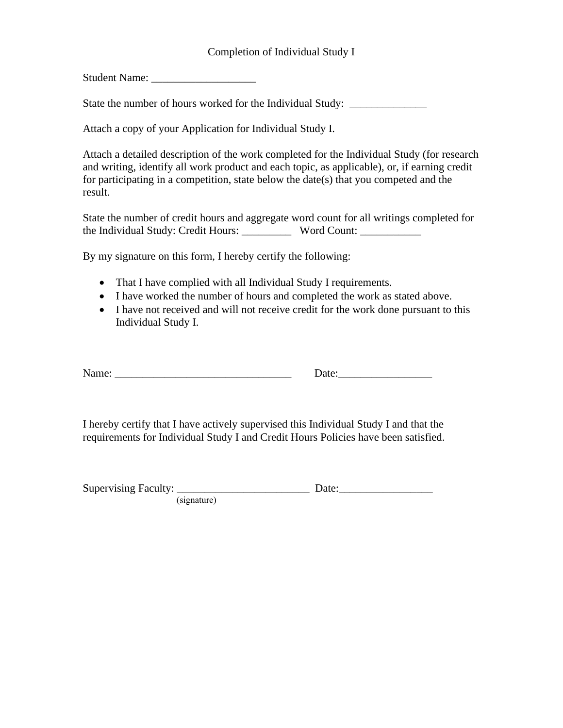# Completion of Individual Study I

Student Name:

State the number of hours worked for the Individual Study:

Attach a copy of your Application for Individual Study I.

Attach a detailed description of the work completed for the Individual Study (for research and writing, identify all work product and each topic, as applicable), or, if earning credit for participating in a competition, state below the date(s) that you competed and the result.

State the number of credit hours and aggregate word count for all writings completed for the Individual Study: Credit Hours: \_\_\_\_\_\_\_\_\_ Word Count: \_\_\_\_\_\_\_\_\_\_\_

By my signature on this form, I hereby certify the following:

- That I have complied with all Individual Study I requirements.
- I have worked the number of hours and completed the work as stated above.
- I have not received and will not receive credit for the work done pursuant to this Individual Study I.

Name: \_\_\_\_\_\_\_\_\_\_\_\_\_\_\_\_\_\_\_\_\_\_\_\_\_\_\_\_\_\_\_\_ Date:\_\_\_\_\_\_\_\_\_\_\_\_\_\_\_\_\_

I hereby certify that I have actively supervised this Individual Study I and that the requirements for Individual Study I and Credit Hours Policies have been satisfied.

Supervising Faculty: \_\_\_\_\_\_\_\_\_\_\_\_\_\_\_\_\_\_\_\_\_\_\_\_ Date:\_\_\_\_\_\_\_\_\_\_\_\_\_\_\_\_\_

(signature)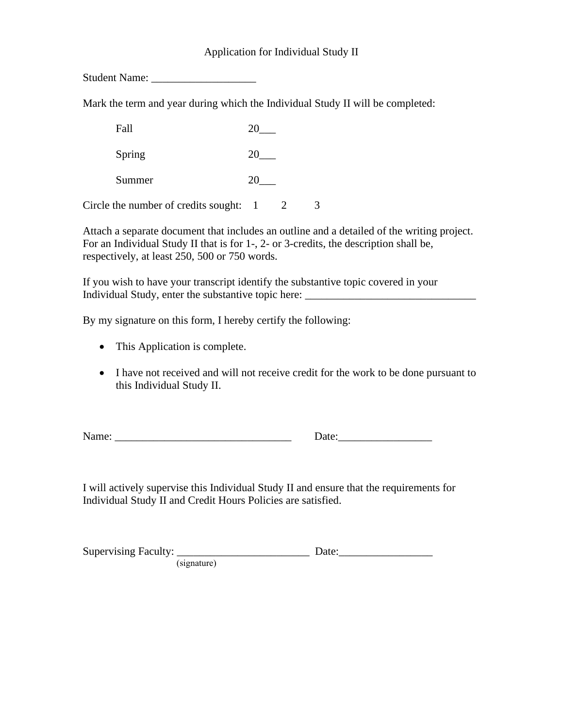### Application for Individual Study II

Student Name: \_\_\_\_\_\_\_\_\_\_\_\_\_\_\_\_\_\_\_

Mark the term and year during which the Individual Study II will be completed:

| Fall                         | 20     |
|------------------------------|--------|
| Spring                       | 20     |
| Summer                       | 20     |
| -<br>$\sim$<br>- -<br>-<br>- | $\sim$ |

Circle the number of credits sought:  $1 \quad 2 \quad 3$ 

Attach a separate document that includes an outline and a detailed of the writing project. For an Individual Study II that is for 1-, 2- or 3-credits, the description shall be, respectively, at least 250, 500 or 750 words.

If you wish to have your transcript identify the substantive topic covered in your Individual Study, enter the substantive topic here: \_\_\_\_\_\_\_\_\_\_\_\_\_\_\_\_\_\_\_\_\_\_\_\_\_\_\_\_

By my signature on this form, I hereby certify the following:

- This Application is complete.
- I have not received and will not receive credit for the work to be done pursuant to this Individual Study II.

Name: \_\_\_\_\_\_\_\_\_\_\_\_\_\_\_\_\_\_\_\_\_\_\_\_\_\_\_\_\_\_\_\_ Date:\_\_\_\_\_\_\_\_\_\_\_\_\_\_\_\_\_

I will actively supervise this Individual Study II and ensure that the requirements for Individual Study II and Credit Hours Policies are satisfied.

| <b>Supervising Faculty:</b> |             | Date: |
|-----------------------------|-------------|-------|
|                             | (signature) |       |